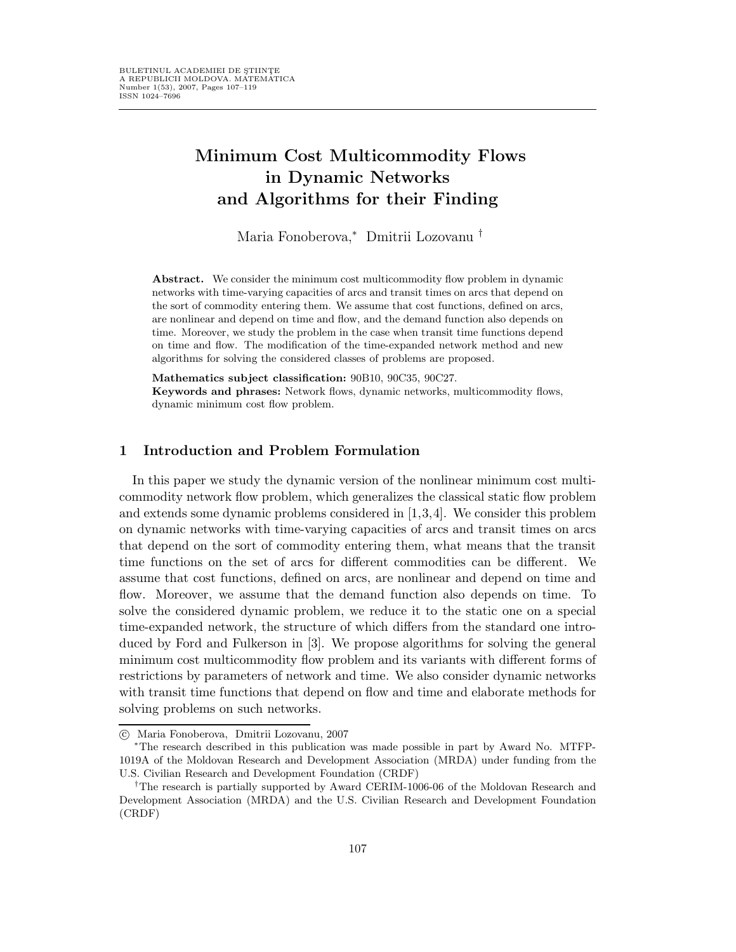# Minimum Cost Multicommodity Flows in Dynamic Networks and Algorithms for their Finding

Maria Fonoberova,<sup>∗</sup> Dmitrii Lozovanu †

Abstract. We consider the minimum cost multicommodity flow problem in dynamic networks with time-varying capacities of arcs and transit times on arcs that depend on the sort of commodity entering them. We assume that cost functions, defined on arcs, are nonlinear and depend on time and flow, and the demand function also depends on time. Moreover, we study the problem in the case when transit time functions depend on time and flow. The modification of the time-expanded network method and new algorithms for solving the considered classes of problems are proposed.

Mathematics subject classification: 90B10, 90C35, 90C27.

Keywords and phrases: Network flows, dynamic networks, multicommodity flows, dynamic minimum cost flow problem.

### 1 Introduction and Problem Formulation

In this paper we study the dynamic version of the nonlinear minimum cost multicommodity network flow problem, which generalizes the classical static flow problem and extends some dynamic problems considered in [1,3,4]. We consider this problem on dynamic networks with time-varying capacities of arcs and transit times on arcs that depend on the sort of commodity entering them, what means that the transit time functions on the set of arcs for different commodities can be different. We assume that cost functions, defined on arcs, are nonlinear and depend on time and flow. Moreover, we assume that the demand function also depends on time. To solve the considered dynamic problem, we reduce it to the static one on a special time-expanded network, the structure of which differs from the standard one introduced by Ford and Fulkerson in [3]. We propose algorithms for solving the general minimum cost multicommodity flow problem and its variants with different forms of restrictions by parameters of network and time. We also consider dynamic networks with transit time functions that depend on flow and time and elaborate methods for solving problems on such networks.

c Maria Fonoberova, Dmitrii Lozovanu, 2007

<sup>∗</sup>The research described in this publication was made possible in part by Award No. MTFP-1019A of the Moldovan Research and Development Association (MRDA) under funding from the U.S. Civilian Research and Development Foundation (CRDF)

<sup>&</sup>lt;sup>†</sup>The research is partially supported by Award CERIM-1006-06 of the Moldovan Research and Development Association (MRDA) and the U.S. Civilian Research and Development Foundation (CRDF)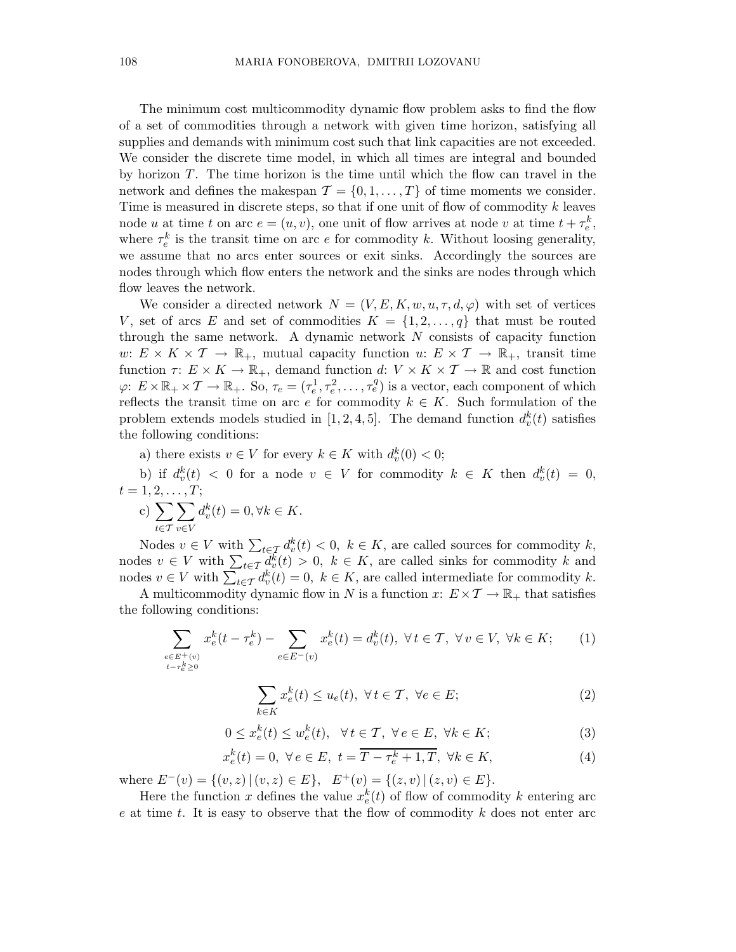The minimum cost multicommodity dynamic flow problem asks to find the flow of a set of commodities through a network with given time horizon, satisfying all supplies and demands with minimum cost such that link capacities are not exceeded. We consider the discrete time model, in which all times are integral and bounded by horizon T. The time horizon is the time until which the flow can travel in the network and defines the makespan  $\mathcal{T} = \{0, 1, \ldots, T\}$  of time moments we consider. Time is measured in discrete steps, so that if one unit of flow of commodity  $k$  leaves node u at time t on arc  $e = (u, v)$ , one unit of flow arrives at node v at time  $t + \tau_e^k$ , where  $\tau_e^k$  is the transit time on arc e for commodity k. Without loosing generality, we assume that no arcs enter sources or exit sinks. Accordingly the sources are nodes through which flow enters the network and the sinks are nodes through which flow leaves the network.

We consider a directed network  $N = (V, E, K, w, u, \tau, d, \varphi)$  with set of vertices V, set of arcs E and set of commodities  $K = \{1, 2, \ldots, q\}$  that must be routed through the same network. A dynamic network  $N$  consists of capacity function w:  $E \times K \times T \to \mathbb{R}_+$ , mutual capacity function  $u: E \times T \to \mathbb{R}_+$ , transit time function  $\tau: E \times K \to \mathbb{R}_+$ , demand function  $d: V \times K \times T \to \mathbb{R}$  and cost function  $\varphi: E \times \mathbb{R}_+ \times \mathcal{T} \to \mathbb{R}_+$ . So,  $\tau_e = (\tau_e^1, \tau_e^2, \dots, \tau_e^q)$  is a vector, each component of which reflects the transit time on arc e for commodity  $k \in K$ . Such formulation of the problem extends models studied in [1, 2, 4, 5]. The demand function  $d_v^k(t)$  satisfies the following conditions:

a) there exists  $v \in V$  for every  $k \in K$  with  $d_v^k(0) < 0$ ;

b) if  $d_v^k(t) < 0$  for a node  $v \in V$  for commodity  $k \in K$  then  $d_v^k(t) = 0$ ,  $t = 1, 2, \ldots, T;$ 

c) 
$$
\sum_{t \in \mathcal{T}} \sum_{v \in V} d_v^k(t) = 0, \forall k \in K.
$$

Nodes  $v \in V$  with  $\sum_{t \in \mathcal{T}} d_v^k(t) < 0, \ k \in K$ , are called sources for commodity k, nodes  $v \in V$  with  $\sum_{t \in \mathcal{T}} d_v^{\overline{k}}(t) > 0$ ,  $k \in K$ , are called sinks for commodity k and nodes  $v \in V$  with  $\sum_{t \in \mathcal{T}} d_v^k(t) = 0, \ k \in K$ , are called intermediate for commodity k.

A multicommodity dynamic flow in N is a function x:  $E \times T \to \mathbb{R}_+$  that satisfies the following conditions:

$$
\sum_{e \in E^+(v)} x_e^k(t - \tau_e^k) - \sum_{e \in E^-(v)} x_e^k(t) = d_v^k(t), \ \forall \, t \in \mathcal{T}, \ \forall \, v \in V, \ \forall k \in K; \tag{1}
$$

$$
\sum_{k \in K} x_e^k(t) \le u_e(t), \ \forall \, t \in \mathcal{T}, \ \forall e \in E; \tag{2}
$$

$$
0 \le x_e^k(t) \le w_e^k(t), \quad \forall \, t \in \mathcal{T}, \ \forall \, e \in E, \ \forall k \in K; \tag{3}
$$

$$
x_e^k(t) = 0, \ \forall e \in E, \ t = \overline{T - \tau_e^k + 1, T}, \ \forall k \in K,
$$
\n
$$
(4)
$$

where  $E^-(v) = \{(v, z) | (v, z) \in E\}$ ,  $E^+(v) = \{(z, v) | (z, v) \in E\}$ .

Here the function x defines the value  $x_e^k(t)$  of flow of commodity k entering arc  $e$  at time  $t$ . It is easy to observe that the flow of commodity  $k$  does not enter arc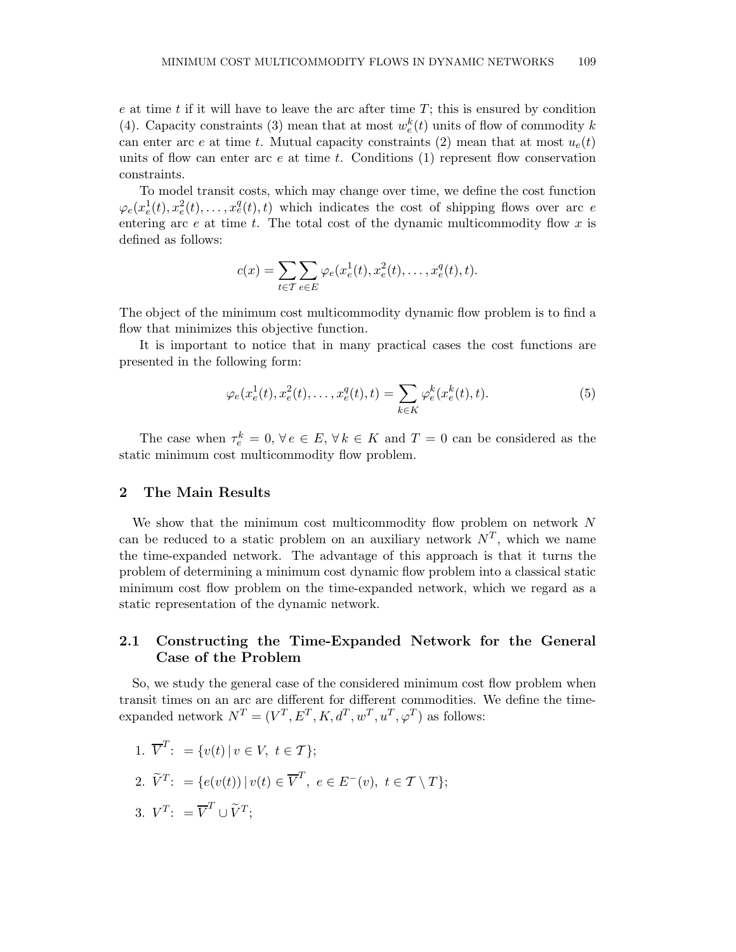$e$  at time  $t$  if it will have to leave the arc after time  $T$ ; this is ensured by condition (4). Capacity constraints (3) mean that at most  $w_e^k(t)$  units of flow of commodity k can enter arc e at time t. Mutual capacity constraints (2) mean that at most  $u_e(t)$ units of flow can enter arc  $e$  at time  $t$ . Conditions  $(1)$  represent flow conservation constraints.

To model transit costs, which may change over time, we define the cost function  $\varphi_e(x_e^1(t), x_e^2(t), \ldots, x_e^q(t), t)$  which indicates the cost of shipping flows over arc e entering arc  $e$  at time  $t$ . The total cost of the dynamic multicommodity flow  $x$  is defined as follows:

$$
c(x) = \sum_{t \in \mathcal{T}} \sum_{e \in E} \varphi_e(x_e^1(t), x_e^2(t), \dots, x_e^q(t), t).
$$

The object of the minimum cost multicommodity dynamic flow problem is to find a flow that minimizes this objective function.

It is important to notice that in many practical cases the cost functions are presented in the following form:

$$
\varphi_e(x_e^1(t), x_e^2(t), \dots, x_e^q(t), t) = \sum_{k \in K} \varphi_e^k(x_e^k(t), t).
$$
 (5)

The case when  $\tau_e^k = 0$ ,  $\forall e \in E$ ,  $\forall k \in K$  and  $T = 0$  can be considered as the static minimum cost multicommodity flow problem.

### 2 The Main Results

We show that the minimum cost multicommodity flow problem on network N can be reduced to a static problem on an auxiliary network  $N^T$ , which we name the time-expanded network. The advantage of this approach is that it turns the problem of determining a minimum cost dynamic flow problem into a classical static minimum cost flow problem on the time-expanded network, which we regard as a static representation of the dynamic network.

# 2.1 Constructing the Time-Expanded Network for the General Case of the Problem

So, we study the general case of the considered minimum cost flow problem when transit times on an arc are different for different commodities. We define the timeexpanded network  $N^T = (V^T, E^T, K, d^T, w^T, u^T, \varphi^T)$  as follows:

1. 
$$
\overline{V}^T
$$
: = { $v(t) | v \in V, t \in T$ };  
\n2.  $\widetilde{V}^T$ : = { $e(v(t)) | v(t) \in \overline{V}^T, e \in E^-(v), t \in T \setminus T$ };  
\n3.  $V^T$ : =  $\overline{V}^T \cup \widetilde{V}^T$ ;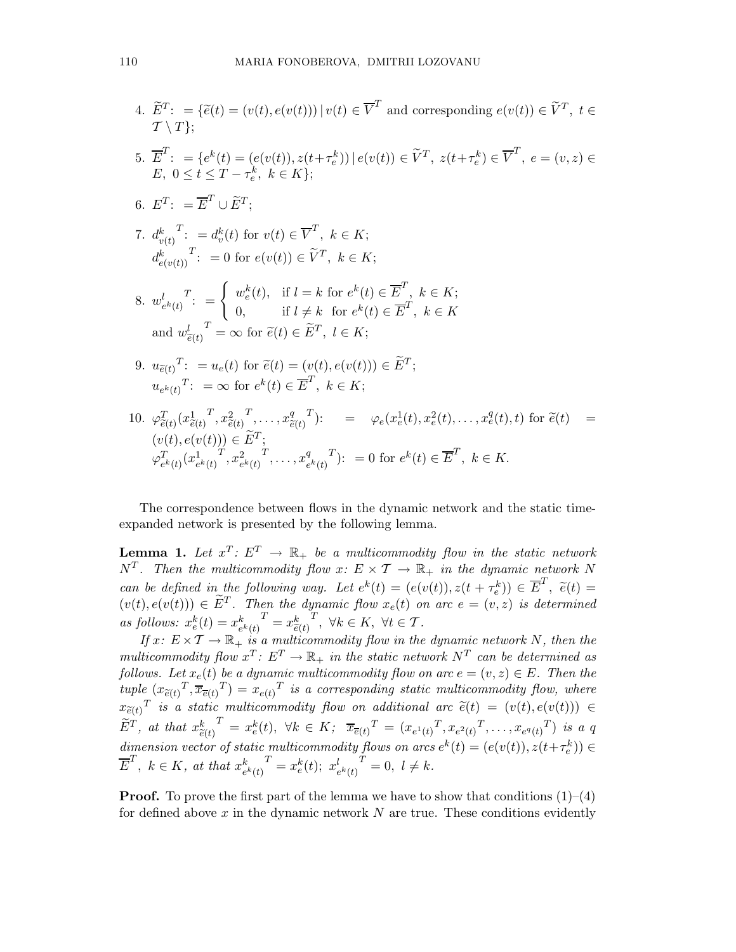4. 
$$
\tilde{E}^T: = \{\tilde{e}(t) = (v(t), e(v(t))) | v(t) \in \overline{V}^T \text{ and corresponding } e(v(t)) \in \tilde{V}^T, t \in \mathcal{T} \setminus T\};
$$
\n5. 
$$
\overline{E}^T: = \{e^k(t) = (e(v(t)), z(t + \tau_e^k)) | e(v(t)) \in \tilde{V}^T, z(t + \tau_e^k) \in \overline{V}^T, e = (v, z) \in E, 0 \le t \le T - \tau_e^k, k \in K\};
$$
\n6. 
$$
E^T: = \overline{E}^T \cup \tilde{E}^T;
$$
\n7. 
$$
d_{v(t)}^k \stackrel{T:}{:=} d_v^k(t) \text{ for } v(t) \in \overline{V}^T, k \in K;
$$
\n
$$
d_{e(v(t))}^k \stackrel{T:}{:=} 0 \text{ for } e(v(t)) \in \tilde{V}^T, k \in K;
$$
\n8. 
$$
w_{e^k(t)}^l \stackrel{T:}{:=} \begin{cases} w_e^k(t), & \text{if } l = k \text{ for } e^k(t) \in \overline{E}^T, k \in K; \\ 0, & \text{if } l \ne k \text{ for } e^k(t) \in \overline{E}^T, k \in K \end{cases}
$$
\n9. 
$$
u_{\tilde{e}(t)} \stackrel{T:}{:=} u_e(t) \text{ for } \tilde{e}(t) \in \tilde{E}^T, l \in K;
$$
\n10. 
$$
\varphi_{\tilde{e}(t)}^T: = \infty \text{ for } e^k(t) \in \overline{E}^T, k \in K;
$$
\n10. 
$$
\varphi_{\tilde{e}(t)}^T: = \infty \text{ for } e^k(t) \in \overline{E}^T, k \in K;
$$
\n10. 
$$
\varphi_{\tilde{e}(t)}^T(x_{\tilde{e}(t)}^1, x_{\tilde{e}(t)}^2, \dots, x_{\tilde{e}(t)}^q) : \quad = \varphi_e(x_e^1(t), x_e^2(t), \dots, x_e^q(t), t) \text{ for } \tilde{e}(t) = (v(t), e(v(t))) \in \tilde{E}^T;
$$
\

The correspondence between flows in the dynamic network and the static timeexpanded network is presented by the following lemma.

**Lemma 1.** Let  $x^T: E^T \to \mathbb{R}_+$  be a multicommodity flow in the static network  $N^T$ . Then the multicommodity flow  $x: E \times T \to \mathbb{R}_+$  in the dynamic network N can be defined in the following way. Let  $e^{k}(t) = (e(v(t)), z(t + \tau_e^k)) \in \overline{E}^{T}$  $(\begin{array}{c} \epsilon \ e \end{array}) \in E^1 \, , \, \, \widetilde{e}(t) =$  $(v(t), e(v(t))) \in \widetilde{E}^T$ . Then the dynamic flow  $x_e(t)$  on arc  $e = (v, z)$  is determined as follows:  $x_e^k(t) = x_e^k$  $\frac{k}{e^k(t)}^T = x^k_{\widetilde{e}(t)}$  $T, \forall k \in K, \ \forall t \in T.$ 

If  $x: E \times T \to \mathbb{R}_+$  is a multicommodity flow in the dynamic network N, then the multicommodity flow  $x^T: E^T \to \mathbb{R}_+$  in the static network  $N^T$  can be determined as follows. Let  $x_e(t)$  be a dynamic multicommodity flow on arc  $e = (v, z) \in E$ . Then the tuple  $(x_{\tilde{e}(t)}^T, \overline{x}_{\overline{e}(t)}^T) = x_{e(t)}^T$  is a corresponding static multicommodity flow, where  $x_{\tilde{e}(t)}^T$  is a static multicommodity flow on additional arc  $\tilde{e}(t) = (v(t), e(v(t))) \in$  $\widetilde{E}^{T}$ , at that  $x_{\widetilde{e}(t)}^{k}$   $T = x_{e}^{k}(t)$ ,  $\forall k \in K$ ;  $\overline{x}_{\overline{e}(t)}^{T} = (x_{e^{1}(t)}^{T}, x_{e^{2}(t)}^{T}, \ldots, x_{e^{q}(t)}^{T})$  is a q dimension vector of static multicommodity flows on arcs  $e^k(t) = (e(v(t)), z(t + \tau_e^k)) \in$  $\overline{E}^T$ ,  $k \in K$ , at that  $x_e^k$  $\frac{k}{e^{k}(t)}^{T} = x_{e}^{k}(t); x_{e}^{l}$  $\frac{l}{e^{k}(t)}^{T} = 0, \ l \neq k.$ 

**Proof.** To prove the first part of the lemma we have to show that conditions  $(1)$ – $(4)$ for defined above  $x$  in the dynamic network  $N$  are true. These conditions evidently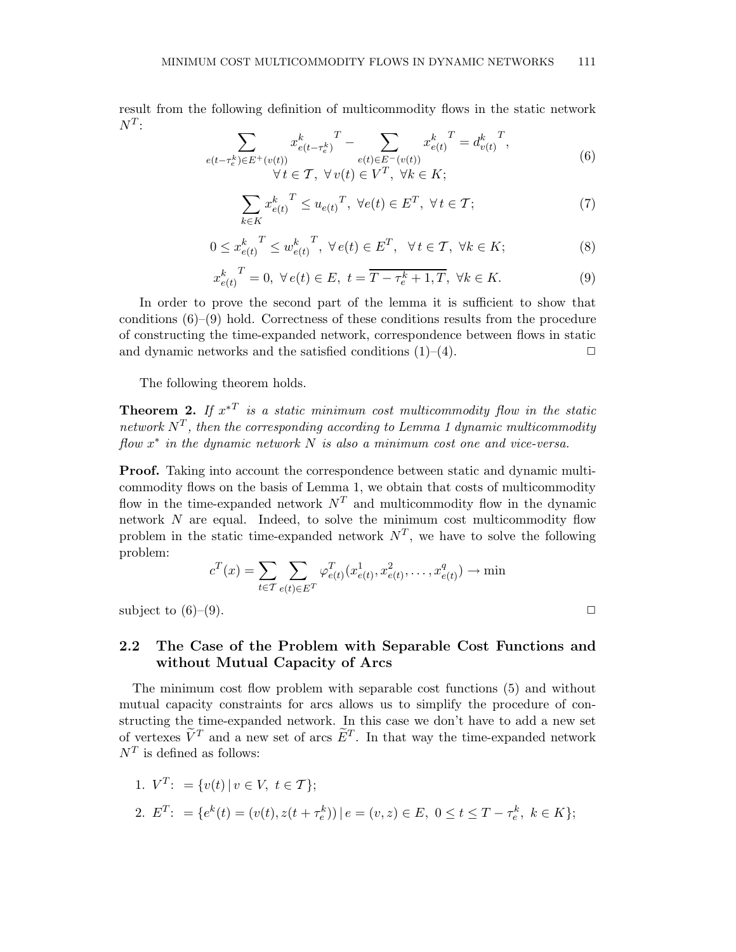result from the following definition of multicommodity flows in the static network  $N^T$ :

$$
\sum_{\substack{e(t-\tau_e^k)\in E^+(v(t))\\ \forall t \in \mathcal{T}, \ \forall v(t) \in V^T, \ \forall k \in K;}} x_{e(t)}^k = d_{v(t)}^k = d_{v(t)}^k,
$$
\n
$$
(6)
$$

$$
\sum_{k \in K} x_{e(t)}^k \le u_{e(t)}^T, \ \forall e(t) \in E^T, \ \forall t \in \mathcal{T};\tag{7}
$$

$$
0 \leq x_{e(t)}^k \leq w_{e(t)}^k \mathcal{F}, \ \forall e(t) \in E^T, \ \forall t \in \mathcal{T}, \ \forall k \in K; \tag{8}
$$

$$
x_{e(t)}^k{}^T = 0, \ \forall e(t) \in E, \ t = \overline{T - \tau_e^k + 1, T}, \ \forall k \in K.
$$
 (9)

In order to prove the second part of the lemma it is sufficient to show that conditions  $(6)-(9)$  hold. Correctness of these conditions results from the procedure of constructing the time-expanded network, correspondence between flows in static and dynamic networks and the satisfied conditions  $(1)$ – $(4)$ .  $\Box$ 

The following theorem holds.

**Theorem 2.** If  $x^*$  is a static minimum cost multicommodity flow in the static network  $N^T$ , then the corresponding according to Lemma 1 dynamic multicommodity  $flow x^*$  in the dynamic network  $N$  is also a minimum cost one and vice-versa.

Proof. Taking into account the correspondence between static and dynamic multicommodity flows on the basis of Lemma 1, we obtain that costs of multicommodity flow in the time-expanded network  $N<sup>T</sup>$  and multicommodity flow in the dynamic network N are equal. Indeed, to solve the minimum cost multicommodity flow problem in the static time-expanded network  $N^T$ , we have to solve the following problem:

$$
c^{T}(x) = \sum_{t \in \mathcal{T}} \sum_{e(t) \in E^{T}} \varphi_{e(t)}^{T}(x_{e(t)}^{1}, x_{e(t)}^{2}, \dots, x_{e(t)}^{q}) \to \min
$$

subject to  $(6)-(9)$ .

# 2.2 The Case of the Problem with Separable Cost Functions and without Mutual Capacity of Arcs

The minimum cost flow problem with separable cost functions (5) and without mutual capacity constraints for arcs allows us to simplify the procedure of constructing the time-expanded network. In this case we don't have to add a new set of vertexes  $\tilde{V}^T$  and a new set of arcs  $\tilde{E}^T$ . In that way the time-expanded network  $N^T$  is defined as follows:

1. 
$$
V^T
$$
: = { $v(t) | v \in V, t \in T$ };  
2.  $E^T$ : = { $e^k(t) = (v(t), z(t + \tau_e^k)) | e = (v, z) \in E, 0 \le t \le T - \tau_e^k, k \in K$ };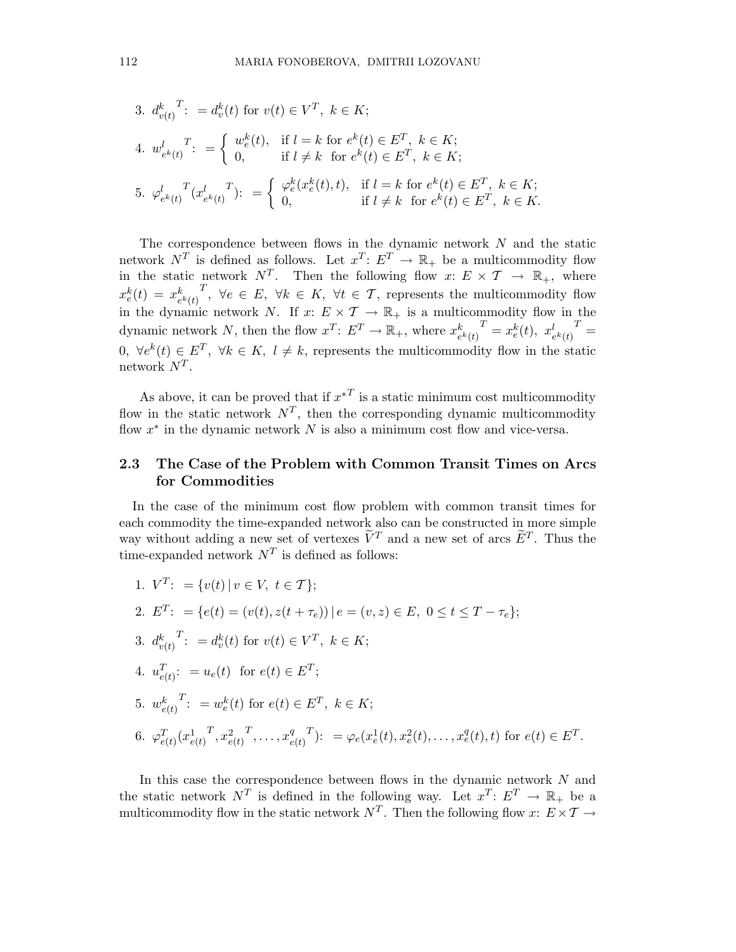3. 
$$
d_{v(t)}^k
$$
<sup>T</sup>:  $= d_v^k(t)$  for  $v(t) \in V^T$ ,  $k \in K$ ;  
\n4.  $w_{e^k(t)}^l$ <sup>T</sup>:  $=\begin{cases} w_e^k(t), & \text{if } l = k \text{ for } e^k(t) \in E^T, \ k \in K; \\ 0, & \text{if } l \neq k \text{ for } e^k(t) \in E^T, \ k \in K; \end{cases}$   
\n5.  $\varphi_{e^k(t)}^l$ <sup>T</sup> $(x_{e^k(t)}^l)^T$ :  $=\begin{cases} \varphi_e^k(x_e^k(t), t), & \text{if } l = k \text{ for } e^k(t) \in E^T, \ k \in K; \\ 0, & \text{if } l \neq k \text{ for } e^k(t) \in E^T, \ k \in K. \end{cases}$ 

The correspondence between flows in the dynamic network N and the static network  $N^T$  is defined as follows. Let  $x^T: E^T \to \mathbb{R}_+$  be a multicommodity flow in the static network  $N^T$ . Then the following flow  $x: E \times T \to \mathbb{R}_+$ , where  $x_e^k(t) = x_e^k$  $e^k(t)$  $T, \forall e \in E, \forall k \in K, \forall t \in T,$  represents the multicommodity flow in the dynamic network N. If  $x: E \times \mathcal{T} \to \mathbb{R}_+$  is a multicommodity flow in the dynamic network N, then the flow  $x^T: E^T \to \mathbb{R}_+$ , where  $x_e^k$  $\frac{k}{e^{k}(t)}^{T} = x_{e}^{k}(t), x_{e^{k}(t)}^{l}^{T} =$ 0,  $\forall e^{k}(t) \in E^{T}$ ,  $\forall k \in K, l \neq k$ , represents the multicommodity flow in the static network  $N^T$ .

As above, it can be proved that if  $x^{T}$  is a static minimum cost multicommodity flow in the static network  $N^T$ , then the corresponding dynamic multicommodity flow  $x^*$  in the dynamic network  $N$  is also a minimum cost flow and vice-versa.

# 2.3 The Case of the Problem with Common Transit Times on Arcs for Commodities

In the case of the minimum cost flow problem with common transit times for each commodity the time-expanded network also can be constructed in more simple way without adding a new set of vertexes  $\tilde{V}^T$  and a new set of arcs  $\tilde{E}^T$ . Thus the time-expanded network  $N^T$  is defined as follows:

1. 
$$
V^T
$$
: = { $v(t) | v \in V, t \in T$ };  
\n2.  $E^T$ : = { $e(t) = (v(t), z(t + \tau_e)) | e = (v, z) \in E, 0 \le t \le T - \tau_e$ };  
\n3.  $d_{v(t)}^k$ <sup>T</sup>: =  $d_v^k(t)$  for  $v(t) \in V^T, k \in K$ ;  
\n4.  $u_{e(t)}^T$ : =  $u_e(t)$  for  $e(t) \in E^T$ ;  
\n5.  $w_{e(t)}^k$ <sup>T</sup>: =  $w_e^k(t)$  for  $e(t) \in E^T, k \in K$ ;  
\n6.  $\varphi_{e(t)}^T (x_{e(t)}^1, x_{e(t)}^2, ..., x_{e(t)}^q)^T$ : =  $\varphi_e(x_e^1(t), x_e^2(t), ..., x_e^q(t), t)$  for  $e(t) \in E^T$ .

In this case the correspondence between flows in the dynamic network  $N$  and the static network  $N^T$  is defined in the following way. Let  $x^T: E^T \to \mathbb{R}_+$  be a multicommodity flow in the static network  $N^T$ . Then the following flow  $x: E \times T \rightarrow$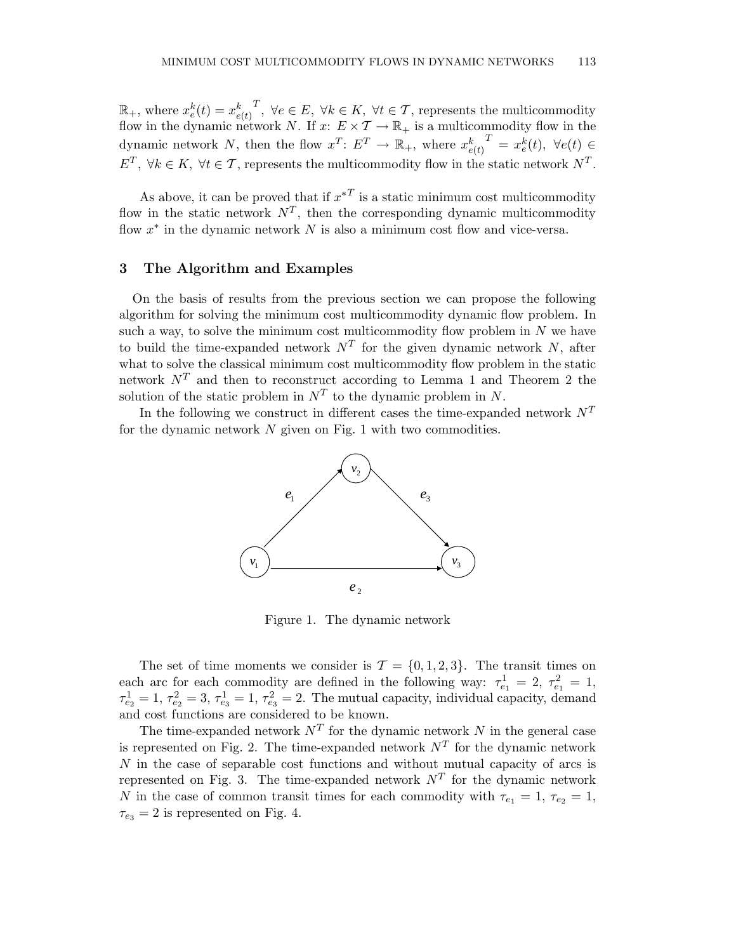$\mathbb{R}_+$ , where  $x_e^k(t) = x_{e(t)}^k$ T, ∀e ∈ E, ∀k ∈ K, ∀t ∈ T, represents the multicommodity flow in the dynamic network N. If  $x: E \times \mathcal{T} \to \mathbb{R}_+$  is a multicommodity flow in the dynamic network N, then the flow  $x^T: E^T \to \mathbb{R}_+$ , where  $x_{e(t)}^k = x_e^k(t)$ ,  $\forall e(t) \in$  $E^T$ ,  $\forall k \in K$ ,  $\forall t \in T$ , represents the multicommodity flow in the static network  $N^T$ .

As above, it can be proved that if  $x^*$  is a static minimum cost multicommodity flow in the static network  $N^T$ , then the corresponding dynamic multicommodity flow  $x^*$  in the dynamic network  $N$  is also a minimum cost flow and vice-versa.

#### 3 The Algorithm and Examples

On the basis of results from the previous section we can propose the following algorithm for solving the minimum cost multicommodity dynamic flow problem. In such a way, to solve the minimum cost multicommodity flow problem in  $N$  we have to build the time-expanded network  $N<sup>T</sup>$  for the given dynamic network N, after what to solve the classical minimum cost multicommodity flow problem in the static network  $N^T$  and then to reconstruct according to Lemma 1 and Theorem 2 the solution of the static problem in  $N^T$  to the dynamic problem in N.

In the following we construct in different cases the time-expanded network  $N^T$ for the dynamic network  $N$  given on Fig. 1 with two commodities.



Figure 1. The dynamic network

The set of time moments we consider is  $\mathcal{T} = \{0, 1, 2, 3\}$ . The transit times on each arc for each commodity are defined in the following way:  $\tau_{e_1}^1 = 2, \tau_{e_1}^2 = 1$ ,  $\tau_{e_2}^1 = 1, \tau_{e_2}^2 = 3, \tau_{e_3}^1 = 1, \tau_{e_3}^2 = 2$ . The mutual capacity, individual capacity, demand and cost functions are considered to be known.

The time-expanded network  $N<sup>T</sup>$  for the dynamic network N in the general case is represented on Fig. 2. The time-expanded network  $N<sup>T</sup>$  for the dynamic network N in the case of separable cost functions and without mutual capacity of arcs is represented on Fig. 3. The time-expanded network  $N<sup>T</sup>$  for the dynamic network N in the case of common transit times for each commodity with  $\tau_{e_1} = 1, \tau_{e_2} = 1$ ,  $\tau_{e_3} = 2$  is represented on Fig. 4.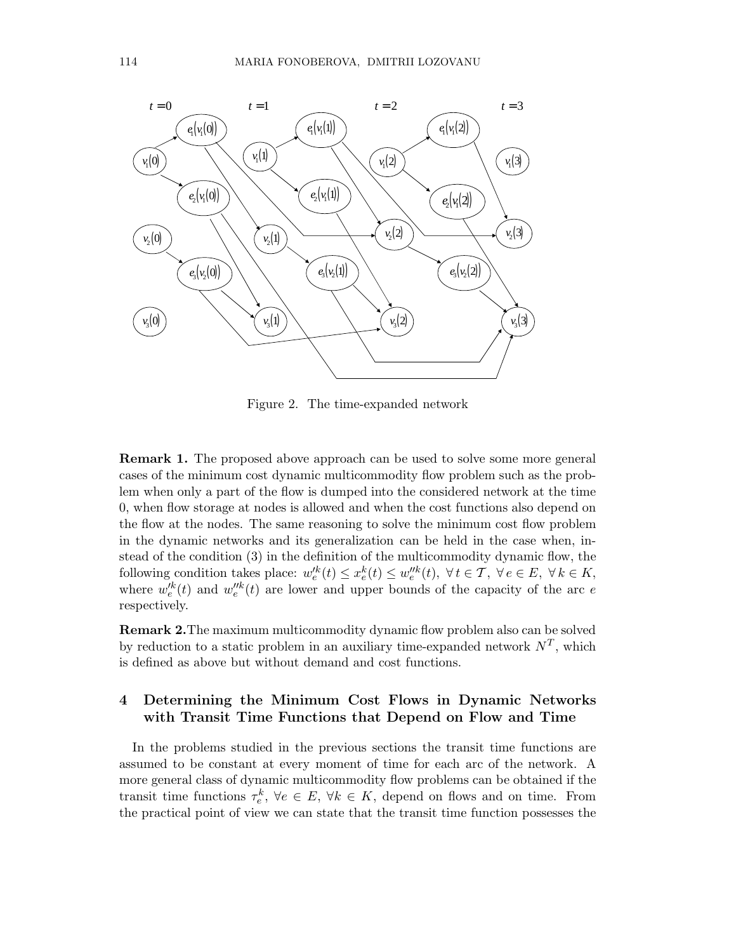

Figure 2. The time-expanded network

Remark 1. The proposed above approach can be used to solve some more general cases of the minimum cost dynamic multicommodity flow problem such as the problem when only a part of the flow is dumped into the considered network at the time 0, when flow storage at nodes is allowed and when the cost functions also depend on the flow at the nodes. The same reasoning to solve the minimum cost flow problem in the dynamic networks and its generalization can be held in the case when, instead of the condition (3) in the definition of the multicommodity dynamic flow, the following condition takes place:  $w_e'^k(t) \leq x_e^k(t) \leq w_e''^k(t)$ ,  $\forall t \in \mathcal{T}$ ,  $\forall e \in E$ ,  $\forall k \in K$ , where  $w_e^{k}(t)$  and  $w_e^{\prime k}(t)$  are lower and upper bounds of the capacity of the arc e respectively.

Remark 2.The maximum multicommodity dynamic flow problem also can be solved by reduction to a static problem in an auxiliary time-expanded network  $N^T$ , which is defined as above but without demand and cost functions.

# 4 Determining the Minimum Cost Flows in Dynamic Networks with Transit Time Functions that Depend on Flow and Time

In the problems studied in the previous sections the transit time functions are assumed to be constant at every moment of time for each arc of the network. A more general class of dynamic multicommodity flow problems can be obtained if the transit time functions  $\tau_e^k$ ,  $\forall e \in E$ ,  $\forall k \in K$ , depend on flows and on time. From the practical point of view we can state that the transit time function possesses the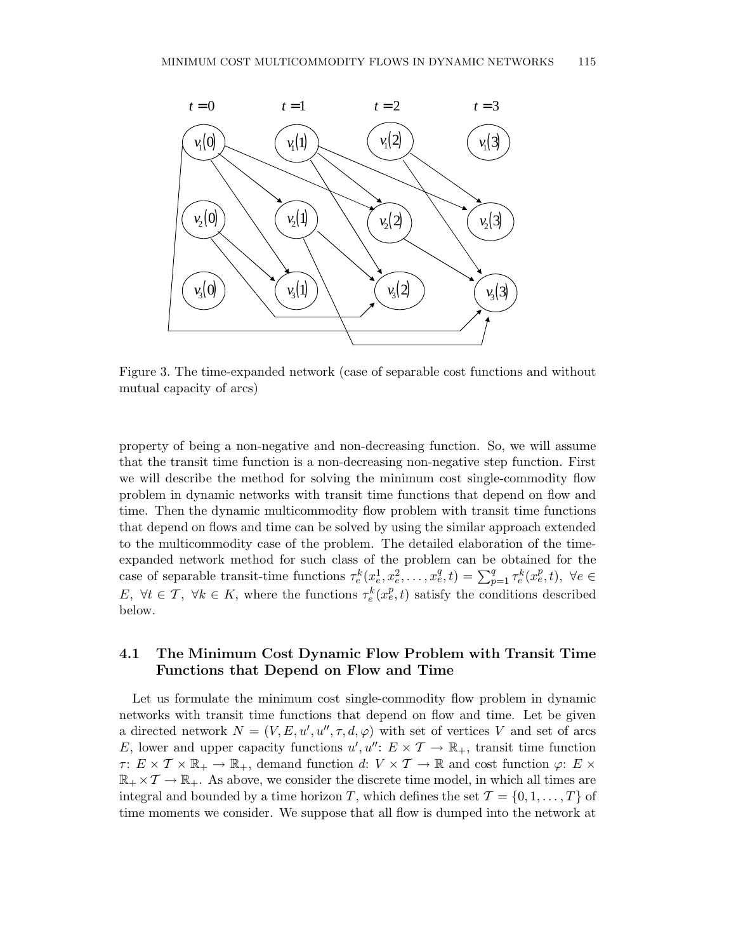

Figure 3. The time-expanded network (case of separable cost functions and without mutual capacity of arcs)

property of being a non-negative and non-decreasing function. So, we will assume that the transit time function is a non-decreasing non-negative step function. First we will describe the method for solving the minimum cost single-commodity flow problem in dynamic networks with transit time functions that depend on flow and time. Then the dynamic multicommodity flow problem with transit time functions that depend on flows and time can be solved by using the similar approach extended to the multicommodity case of the problem. The detailed elaboration of the timeexpanded network method for such class of the problem can be obtained for the case of separable transit-time functions  $\tau_e^k(x_e^1, x_e^2, \ldots, x_e^q, t) = \sum_{p=1}^q \tau_e^k(x_e^p, t)$ ,  $\forall e \in$ E,  $\forall t \in \mathcal{T}$ ,  $\forall k \in K$ , where the functions  $\tau_e^k(x_e^p, t)$  satisfy the conditions described below.

# 4.1 The Minimum Cost Dynamic Flow Problem with Transit Time Functions that Depend on Flow and Time

Let us formulate the minimum cost single-commodity flow problem in dynamic networks with transit time functions that depend on flow and time. Let be given a directed network  $N = (V, E, u', u'', \tau, d, \varphi)$  with set of vertices V and set of arcs E, lower and upper capacity functions  $u', u'' \colon E \times \mathcal{T} \to \mathbb{R}_{+}$ , transit time function  $\tau: E \times \mathcal{T} \times \mathbb{R}_+ \to \mathbb{R}_+$ , demand function d:  $V \times \mathcal{T} \to \mathbb{R}$  and cost function  $\varphi: E \times \mathbb{R}$  $\mathbb{R}_+ \times \mathcal{T} \to \mathbb{R}_+$ . As above, we consider the discrete time model, in which all times are integral and bounded by a time horizon T, which defines the set  $\mathcal{T} = \{0, 1, \ldots, T\}$  of time moments we consider. We suppose that all flow is dumped into the network at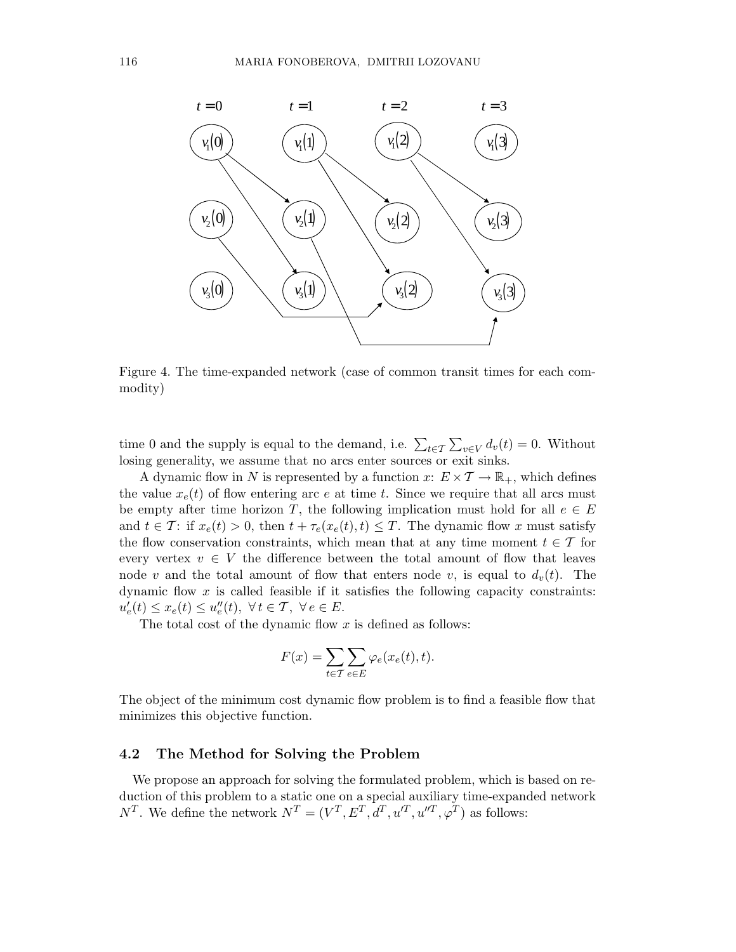

Figure 4. The time-expanded network (case of common transit times for each commodity)

time 0 and the supply is equal to the demand, i.e.  $\sum_{t \in \mathcal{T}} \sum_{v \in V} d_v(t) = 0$ . Without losing generality, we assume that no arcs enter sources or exit sinks.

A dynamic flow in N is represented by a function  $x: E \times \mathcal{T} \to \mathbb{R}_+$ , which defines the value  $x_e(t)$  of flow entering arc e at time t. Since we require that all arcs must be empty after time horizon T, the following implication must hold for all  $e \in E$ and  $t \in \mathcal{T}$ : if  $x_e(t) > 0$ , then  $t + \tau_e(x_e(t), t) \leq T$ . The dynamic flow x must satisfy the flow conservation constraints, which mean that at any time moment  $t \in \mathcal{T}$  for every vertex  $v \in V$  the difference between the total amount of flow that leaves node v and the total amount of flow that enters node v, is equal to  $d_v(t)$ . The dynamic flow  $x$  is called feasible if it satisfies the following capacity constraints:  $u'_{e}(t) \leq x_{e}(t) \leq u''_{e}(t), \ \forall t \in \mathcal{T}, \ \forall e \in E.$ 

The total cost of the dynamic flow  $x$  is defined as follows:

$$
F(x) = \sum_{t \in \mathcal{T}} \sum_{e \in E} \varphi_e(x_e(t), t).
$$

The object of the minimum cost dynamic flow problem is to find a feasible flow that minimizes this objective function.

### 4.2 The Method for Solving the Problem

We propose an approach for solving the formulated problem, which is based on reduction of this problem to a static one on a special auxiliary time-expanded network  $N^T$ . We define the network  $N^T = (V^T, E^T, d^T, u'^T, u''^T, \varphi^T)$  as follows: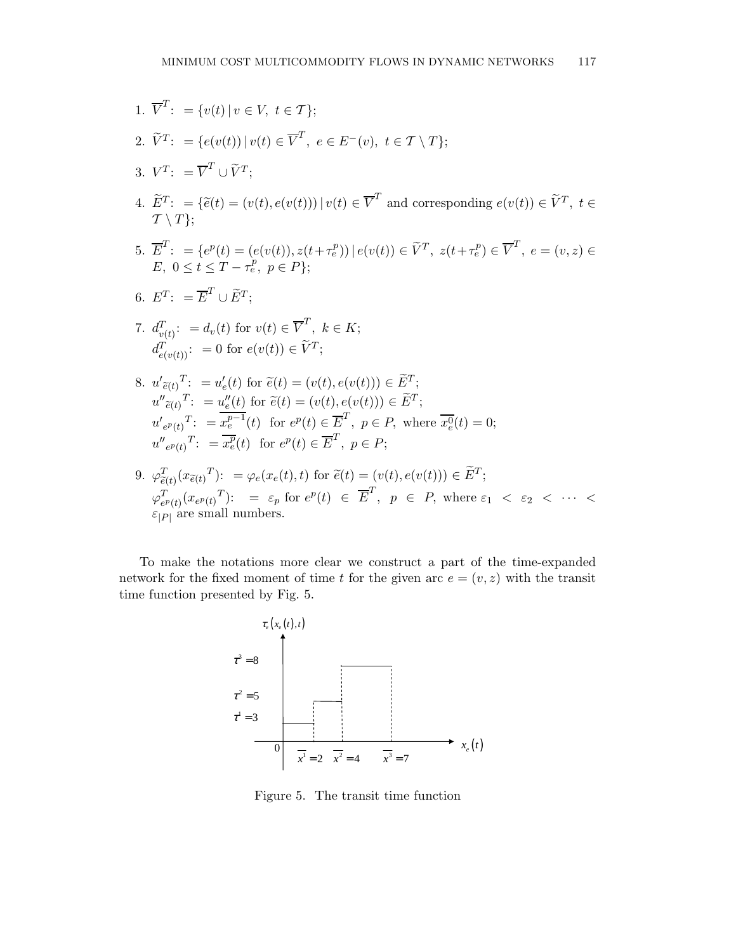1. 
$$
\overline{V}^T
$$
: = { $v(t) | v \in V, t \in T$ };  
\n2.  $\widetilde{V}^T$ : = { $e(v(t)) | v(t) \in \overline{V}^T, e \in E^-(v), t \in \mathcal{T} \setminus T$ };  
\n3.  $V^T$ : =  $\overline{V}^T \cup \widetilde{V}^T$ ;  
\n4.  $\widetilde{E}^T$ : = { $\widetilde{e}(t) = (v(t), e(v(t))) | v(t) \in \overline{V}^T$  and corresponding  $e(v(t)) \in \widetilde{V}^T, t \in \mathcal{T} \setminus T$ };  
\n5.  $\overline{E}^T$ : = { $e^p(t) = (e(v(t)), z(t + \tau_e^p)) | e(v(t)) \in \widetilde{V}^T, z(t + \tau_e^p) \in \overline{V}^T, e = (v, z) \in E, 0 \le t \le T - \tau_e^p, p \in P$ };  
\n6.  $E^T$ : =  $\overline{E}^T \cup \widetilde{E}^T$ ;  
\n7.  $d_{v(t)}^T$ : =  $d_v(t)$  for  $v(t) \in \overline{V}^T, k \in K$ ;  
\n $d_{e(v(t))}^T$ : = 0 for  $e(v(t)) \in \widetilde{V}^T$ ;  
\n8.  $u'_{\widetilde{e}(t)}^T$ : =  $u'_e(t)$  for  $\widetilde{e}(t) = (v(t), e(v(t))) \in \widetilde{E}^T$ ;  
\n $u''_{\widetilde{e}(t)}^T$ : =  $\overline{u}_e^v(t)$  for  $\widetilde{e}(t) = (v(t), e(v(t))) \in \widetilde{E}^T$ ;  
\n $u'_{e^p(t)}^T$ : =  $\overline{u}_e^v(t)$  for  $e^p(t) \in \overline{E}^T, p \in P$ , where  $\overline{u}_e^0(t) = 0$ ;  
\n $u''_{e^p(t)}^T$ : =  $\overline{u}_e^v(t)$  for  $e^p(t) \in \overline{E}^$ 

To make the notations more clear we construct a part of the time-expanded network for the fixed moment of time t for the given arc  $e = (v, z)$  with the transit time function presented by Fig. 5.



Figure 5. The transit time function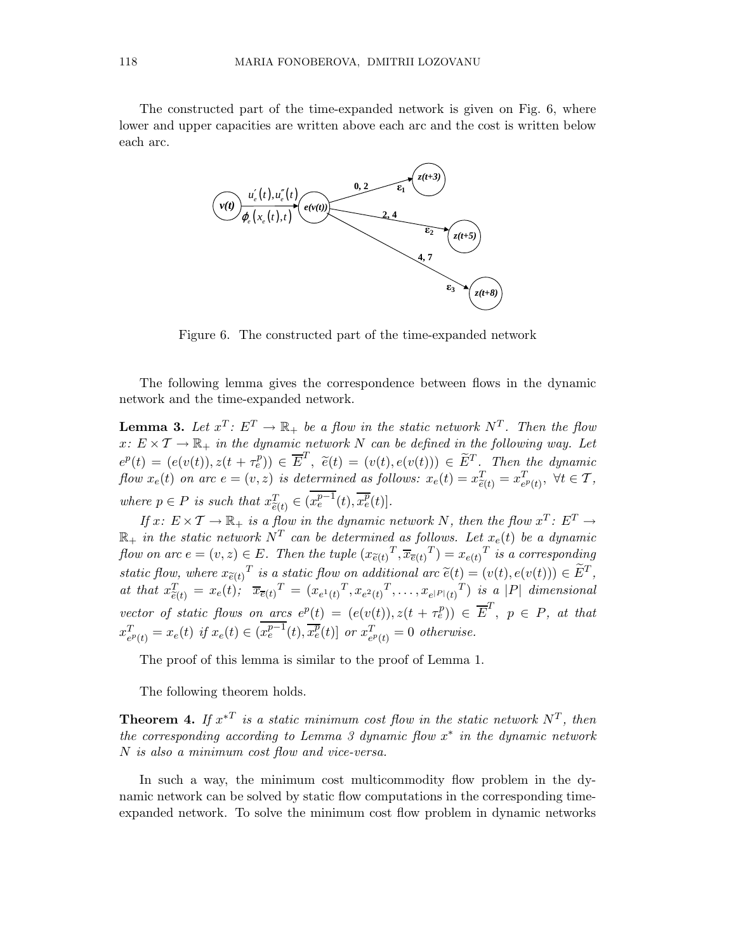The constructed part of the time-expanded network is given on Fig. 6, where lower and upper capacities are written above each arc and the cost is written below each arc.



Figure 6. The constructed part of the time-expanded network

The following lemma gives the correspondence between flows in the dynamic network and the time-expanded network.

**Lemma 3.** Let  $x^T: E^T \to \mathbb{R}_+$  be a flow in the static network  $N^T$ . Then the flow  $x: E \times T \to \mathbb{R}_+$  in the dynamic network N can be defined in the following way. Let  $e^{p}(t) = (e(v(t)), z(t + \tau_e^p)) \in \overline{E}^{T}, \quad \tilde{e}(t) = (v(t), e(v(t))) \in \widetilde{E}^{T}.$  Then the dynamic flow  $x_e(t)$  on arc  $e = (v, z)$  is determined as follows:  $x_e(t) = x_{\tilde{e}(t)}^T = x_{e^p(t)}^T$ ,  $\forall t \in \mathcal{T}$ , where  $p \in P$  is such that  $x_{\tilde{e}(t)}^T \in (x_e^{p-1}(t), \overline{x_e^p}(t)]$ .

If  $x: E \times T \to \mathbb{R}_+$  is a flow in the dynamic network N, then the flow  $x^T: E^T \to$  $\mathbb{R}_+$  in the static network  $N^T$  can be determined as follows. Let  $x_e(t)$  be a dynamic flow on arc  $e=(v, z) \in E$ . Then the tuple  $(x_{\tilde{e}(t)}^T, \overline{x}_{\overline{e}(t)}^T) = x_{e(t)}^T$  is a corresponding static flow, where  $x_{\tilde{e}(t)}^T$  is a static flow on additional arc  $\tilde{e}(t) = (v(t), e(v(t))) \in \tilde{E}^T$ , at that  $x_{\tilde{e}(t)}^T = x_e(t); \quad \overline{x}_{\overline{e}(t)}^T = (x_{e^1(t)}^T, x_{e^2(t)}^T, \dots, x_{e^{|P|}(t)}^T)$  is a |P| dimensional vector of static flows on arcs  $e^p(t) = (e(v(t)), z(t + \tau_e^p)) \in \overline{E}^T$ ,  $p \in P$ , at that  $x_{e^p(t)}^T = x_e(t)$  if  $x_e(t) \in (x_e^{p-1}(t), \overline{x_e^p}(t)]$  or  $x_{e^p(t)}^T = 0$  otherwise.

The proof of this lemma is similar to the proof of Lemma 1.

The following theorem holds.

**Theorem 4.** If  $x^{*T}$  is a static minimum cost flow in the static network  $N^T$ , then the corresponding according to Lemma 3 dynamic flow  $x^*$  in the dynamic network N is also a minimum cost flow and vice-versa.

In such a way, the minimum cost multicommodity flow problem in the dynamic network can be solved by static flow computations in the corresponding timeexpanded network. To solve the minimum cost flow problem in dynamic networks